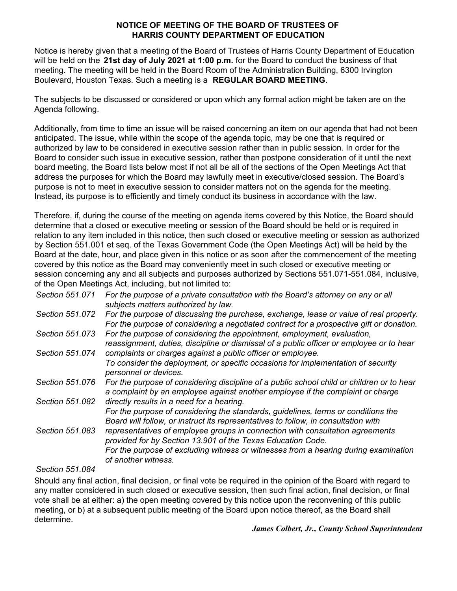## **NOTICE OF MEETING OF THE BOARD OF TRUSTEES OF HARRIS COUNTY DEPARTMENT OF EDUCATION**

Notice is hereby given that a meeting of the Board of Trustees of Harris County Department of Education will be held on the **21st day of July 2021 at 1:00 p.m.** for the Board to conduct the business of that meeting. The meeting will be held in the Board Room of the Administration Building, 6300 Irvington Boulevard, Houston Texas. Such a meeting is a **REGULAR BOARD MEETING**.

The subjects to be discussed or considered or upon which any formal action might be taken are on the Agenda following.

Additionally, from time to time an issue will be raised concerning an item on our agenda that had not been anticipated. The issue, while within the scope of the agenda topic, may be one that is required or authorized by law to be considered in executive session rather than in public session. In order for the Board to consider such issue in executive session, rather than postpone consideration of it until the next board meeting, the Board lists below most if not all be all of the sections of the Open Meetings Act that address the purposes for which the Board may lawfully meet in executive/closed session. The Board's purpose is not to meet in executive session to consider matters not on the agenda for the meeting. Instead, its purpose is to efficiently and timely conduct its business in accordance with the law.

Therefore, if, during the course of the meeting on agenda items covered by this Notice, the Board should determine that a closed or executive meeting or session of the Board should be held or is required in relation to any item included in this notice, then such closed or executive meeting or session as authorized by Section 551.001 et seq. of the Texas Government Code (the Open Meetings Act) will be held by the Board at the date, hour, and place given in this notice or as soon after the commencement of the meeting covered by this notice as the Board may conveniently meet in such closed or executive meeting or session concerning any and all subjects and purposes authorized by Sections 551.071-551.084, inclusive, of the Open Meetings Act, including, but not limited to:

| Section 551.071 | For the purpose of a private consultation with the Board's attorney on any or all<br>subjects matters authorized by law.                                                           |
|-----------------|------------------------------------------------------------------------------------------------------------------------------------------------------------------------------------|
| Section 551.072 | For the purpose of discussing the purchase, exchange, lease or value of real property.<br>For the purpose of considering a negotiated contract for a prospective gift or donation. |
| Section 551.073 | For the purpose of considering the appointment, employment, evaluation,<br>reassignment, duties, discipline or dismissal of a public officer or employee or to hear                |
| Section 551.074 | complaints or charges against a public officer or employee.                                                                                                                        |
|                 | To consider the deployment, or specific occasions for implementation of security<br>personnel or devices.                                                                          |
| Section 551.076 | For the purpose of considering discipline of a public school child or children or to hear<br>a complaint by an employee against another employee if the complaint or charge        |
| Section 551.082 | directly results in a need for a hearing.                                                                                                                                          |
|                 | For the purpose of considering the standards, guidelines, terms or conditions the<br>Board will follow, or instruct its representatives to follow, in consultation with            |
| Section 551.083 | representatives of employee groups in connection with consultation agreements<br>provided for by Section 13.901 of the Texas Education Code.                                       |
|                 | For the purpose of excluding witness or witnesses from a hearing during examination<br>of another witness.                                                                         |

*Section 551.084*

Should any final action, final decision, or final vote be required in the opinion of the Board with regard to any matter considered in such closed or executive session, then such final action, final decision, or final vote shall be at either: a) the open meeting covered by this notice upon the reconvening of this public meeting, or b) at a subsequent public meeting of the Board upon notice thereof, as the Board shall determine.

## *James Colbert, Jr., County School Superintendent*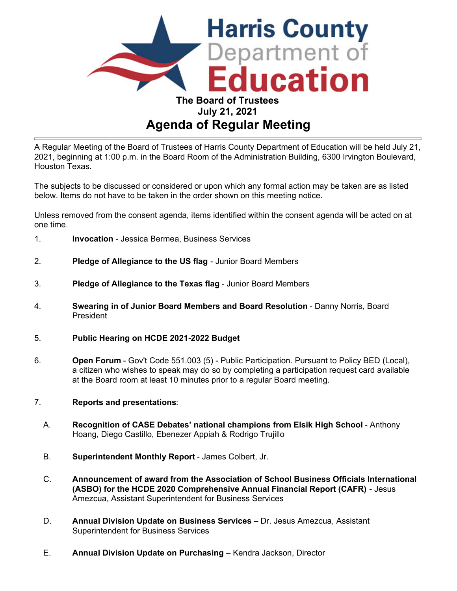

A Regular Meeting of the Board of Trustees of Harris County Department of Education will be held July 21, 2021, beginning at 1:00 p.m. in the Board Room of the Administration Building, 6300 Irvington Boulevard, Houston Texas.

The subjects to be discussed or considered or upon which any formal action may be taken are as listed below. Items do not have to be taken in the order shown on this meeting notice.

Unless removed from the consent agenda, items identified within the consent agenda will be acted on at one time.

- 1. **Invocation** Jessica Bermea, Business Services
- 2. **Pledge of Allegiance to the US flag** Junior Board Members
- 3. **Pledge of Allegiance to the Texas flag** Junior Board Members
- 4. **Swearing in of Junior Board Members and Board Resolution** Danny Norris, Board President
- 5. **Public Hearing on HCDE 2021-2022 Budget**
- 6. **Open Forum** Gov't Code 551.003 (5) Public Participation. Pursuant to Policy BED (Local), a citizen who wishes to speak may do so by completing a participation request card available at the Board room at least 10 minutes prior to a regular Board meeting.
- 7. **Reports and presentations**:
	- A. **Recognition of CASE Debates' national champions from Elsik High School** Anthony Hoang, Diego Castillo, Ebenezer Appiah & Rodrigo Trujillo
	- B. **Superintendent Monthly Report** James Colbert, Jr.
	- C. **Announcement of award from the Association of School Business Officials International (ASBO) for the HCDE 2020 Comprehensive Annual Financial Report (CAFR)** - Jesus Amezcua, Assistant Superintendent for Business Services
	- D. **Annual Division Update on Business Services** Dr. Jesus Amezcua, Assistant Superintendent for Business Services
	- E. **Annual Division Update on Purchasing** Kendra Jackson, Director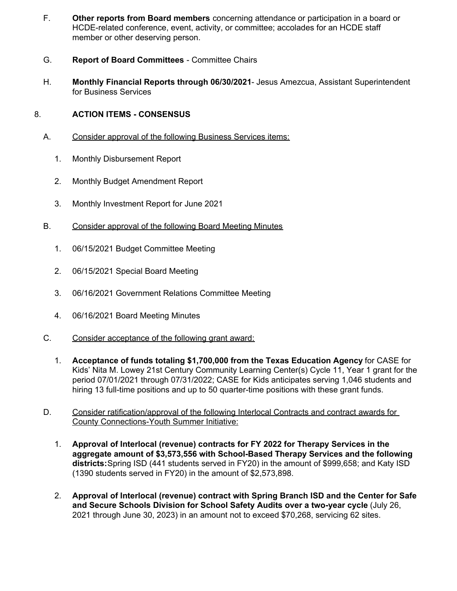- F. **Other reports from Board members** concerning attendance or participation in a board or HCDE-related conference, event, activity, or committee; accolades for an HCDE staff member or other deserving person.
- G. **Report of Board Committees** Committee Chairs
- H. **Monthly Financial Reports through 06/30/2021** Jesus Amezcua, Assistant Superintendent for Business Services

## 8. **ACTION ITEMS - CONSENSUS**

- A. Consider approval of the following Business Services items:
	- 1. Monthly Disbursement Report
	- 2. Monthly Budget Amendment Report
	- 3. Monthly Investment Report for June 2021
- B. Consider approval of the following Board Meeting Minutes
	- 1. 06/15/2021 Budget Committee Meeting
	- 2. 06/15/2021 Special Board Meeting
	- 3. 06/16/2021 Government Relations Committee Meeting
	- 4. 06/16/2021 Board Meeting Minutes
- C. Consider acceptance of the following grant award:
	- 1. **Acceptance of funds totaling \$1,700,000 from the Texas Education Agency** for CASE for Kids' Nita M. Lowey 21st Century Community Learning Center(s) Cycle 11, Year 1 grant for the period 07/01/2021 through 07/31/2022; CASE for Kids anticipates serving 1,046 students and hiring 13 full-time positions and up to 50 quarter-time positions with these grant funds.
- D. Consider ratification/approval of the following Interlocal Contracts and contract awards for County Connections-Youth Summer Initiative:
	- 1. **Approval of Interlocal (revenue) contracts for FY 2022 for Therapy Services in the aggregate amount of \$3,573,556 with School-Based Therapy Services and the following districts:**Spring ISD (441 students served in FY20) in the amount of \$999,658; and Katy ISD (1390 students served in FY20) in the amount of \$2,573,898.
	- 2. **Approval of Interlocal (revenue) contract with Spring Branch ISD and the Center for Safe and Secure Schools Division for School Safety Audits over a two-year cycle** (July 26, 2021 through June 30, 2023) in an amount not to exceed \$70,268, servicing 62 sites.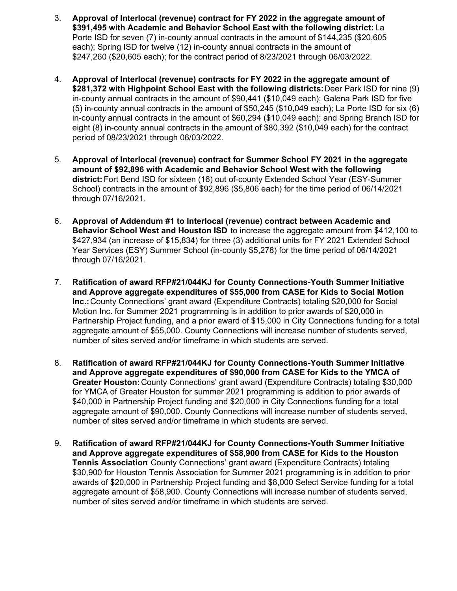- 3. **Approval of Interlocal (revenue) contract for FY 2022 in the aggregate amount of \$391,495 with Academic and Behavior School East with the following district:** La Porte ISD for seven (7) in-county annual contracts in the amount of \$144,235 (\$20,605 each); Spring ISD for twelve (12) in-county annual contracts in the amount of \$247,260 (\$20,605 each); for the contract period of 8/23/2021 through 06/03/2022.
- 4. **Approval of Interlocal (revenue) contracts for FY 2022 in the aggregate amount of \$281,372 with Highpoint School East with the following districts:**Deer Park ISD for nine (9) in-county annual contracts in the amount of \$90,441 (\$10,049 each); Galena Park ISD for five (5) in-county annual contracts in the amount of \$50,245 (\$10,049 each); La Porte ISD for six (6) in-county annual contracts in the amount of \$60,294 (\$10,049 each); and Spring Branch ISD for eight (8) in-county annual contracts in the amount of \$80,392 (\$10,049 each) for the contract period of 08/23/2021 through 06/03/2022.
- 5. **Approval of Interlocal (revenue) contract for Summer School FY 2021 in the aggregate amount of \$92,896 with Academic and Behavior School West with the following district:** Fort Bend ISD for sixteen (16) out of-county Extended School Year (ESY-Summer School) contracts in the amount of \$92,896 (\$5,806 each) for the time period of 06/14/2021 through 07/16/2021.
- 6. **Approval of Addendum #1 to Interlocal (revenue) contract between Academic and Behavior School West and Houston ISD** to increase the aggregate amount from \$412,100 to \$427,934 (an increase of \$15,834) for three (3) additional units for FY 2021 Extended School Year Services (ESY) Summer School (in-county \$5,278) for the time period of 06/14/2021 through 07/16/2021.
- 7. **Ratification of award RFP#21/044KJ for County Connections-Youth Summer Initiative and Approve aggregate expenditures of \$55,000 from CASE for Kids to Social Motion Inc.:** County Connections' grant award (Expenditure Contracts) totaling \$20,000 for Social Motion Inc. for Summer 2021 programming is in addition to prior awards of \$20,000 in Partnership Project funding, and a prior award of \$15,000 in City Connections funding for a total aggregate amount of \$55,000. County Connections will increase number of students served, number of sites served and/or timeframe in which students are served.
- 8. **Ratification of award RFP#21/044KJ for County Connections-Youth Summer Initiative and Approve aggregate expenditures of \$90,000 from CASE for Kids to the YMCA of Greater Houston:** County Connections' grant award (Expenditure Contracts) totaling \$30,000 for YMCA of Greater Houston for summer 2021 programming is addition to prior awards of \$40,000 in Partnership Project funding and \$20,000 in City Connections funding for a total aggregate amount of \$90,000. County Connections will increase number of students served, number of sites served and/or timeframe in which students are served.
- 9. **Ratification of award RFP#21/044KJ for County Connections-Youth Summer Initiative and Approve aggregate expenditures of \$58,900 from CASE for Kids to the Houston Tennis Association**: County Connections' grant award (Expenditure Contracts) totaling \$30,900 for Houston Tennis Association for Summer 2021 programming is in addition to prior awards of \$20,000 in Partnership Project funding and \$8,000 Select Service funding for a total aggregate amount of \$58,900. County Connections will increase number of students served, number of sites served and/or timeframe in which students are served.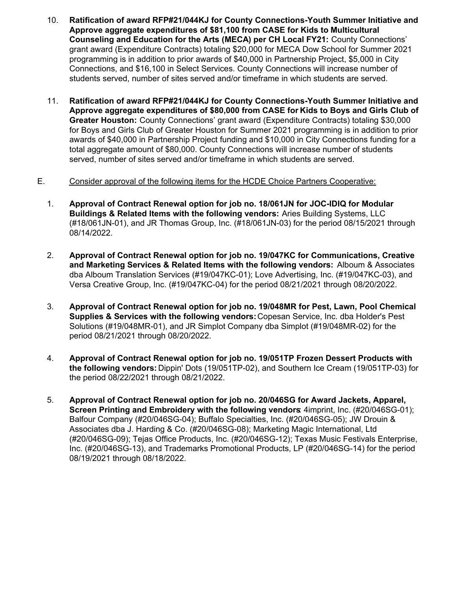- 10. **Ratification of award RFP#21/044KJ for County Connections-Youth Summer Initiative and Approve aggregate expenditures of \$81,100 from CASE for Kids to Multicultural Counseling and Education for the Arts (MECA) per CH Local FY21:** County Connections' grant award (Expenditure Contracts) totaling \$20,000 for MECA Dow School for Summer 2021 programming is in addition to prior awards of \$40,000 in Partnership Project, \$5,000 in City Connections, and \$16,100 in Select Services. County Connections will increase number of students served, number of sites served and/or timeframe in which students are served.
- 11. **Ratification of award RFP#21/044KJ for County Connections-Youth Summer Initiative and Approve aggregate expenditures of \$80,000 from CASE for Kids to Boys and Girls Club of Greater Houston:** County Connections' grant award (Expenditure Contracts) totaling \$30,000 for Boys and Girls Club of Greater Houston for Summer 2021 programming is in addition to prior awards of \$40,000 in Partnership Project funding and \$10,000 in City Connections funding for a total aggregate amount of \$80,000. County Connections will increase number of students served, number of sites served and/or timeframe in which students are served.
- E. Consider approval of the following items for the HCDE Choice Partners Cooperative:
	- 1. **Approval of Contract Renewal option for job no. 18/061JN for JOC-IDIQ for Modular Buildings & Related Items with the following vendors:** Aries Building Systems, LLC (#18/061JN-01), and JR Thomas Group, Inc. (#18/061JN-03) for the period 08/15/2021 through 08/14/2022.
	- 2. **Approval of Contract Renewal option for job no. 19/047KC for Communications, Creative and Marketing Services & Related Items with the following vendors:** Alboum & Associates dba Alboum Translation Services (#19/047KC-01); Love Advertising, Inc. (#19/047KC-03), and Versa Creative Group, Inc. (#19/047KC-04) for the period 08/21/2021 through 08/20/2022.
	- 3. **Approval of Contract Renewal option for job no. 19/048MR for Pest, Lawn, Pool Chemical Supplies & Services with the following vendors:** Copesan Service, Inc. dba Holder's Pest Solutions (#19/048MR-01), and JR Simplot Company dba Simplot (#19/048MR-02) for the period 08/21/2021 through 08/20/2022.
	- 4. **Approval of Contract Renewal option for job no. 19/051TP Frozen Dessert Products with the following vendors:** Dippin' Dots (19/051TP-02), and Southern Ice Cream (19/051TP-03) for the period 08/22/2021 through 08/21/2022.
	- 5. **Approval of Contract Renewal option for job no. 20/046SG for Award Jackets, Apparel, Screen Printing and Embroidery with the following vendors**: 4imprint, Inc. (#20/046SG-01); Balfour Company (#20/046SG-04); Buffalo Specialties, Inc. (#20/046SG-05); JW Drouin & Associates dba J. Harding & Co. (#20/046SG-08); Marketing Magic International, Ltd (#20/046SG-09); Tejas Office Products, Inc. (#20/046SG-12); Texas Music Festivals Enterprise, Inc. (#20/046SG-13), and Trademarks Promotional Products, LP (#20/046SG-14) for the period 08/19/2021 through 08/18/2022.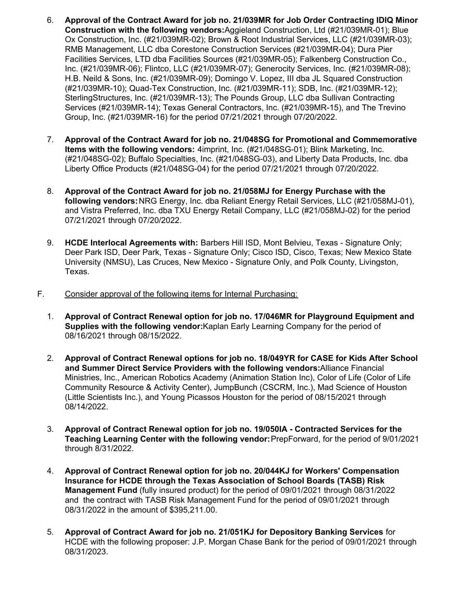- 6. **Approval of the Contract Award for job no. 21/039MR for Job Order Contracting IDIQ Minor Construction with the following vendors:**Aggieland Construction, Ltd (#21/039MR-01); Blue Ox Construction, Inc. (#21/039MR-02); Brown & Root Industrial Services, LLC (#21/039MR-03); RMB Management, LLC dba Corestone Construction Services (#21/039MR-04); Dura Pier Facilities Services, LTD dba Facilities Sources (#21/039MR-05); Falkenberg Construction Co., Inc. (#21/039MR-06); Flintco, LLC (#21/039MR-07); Generocity Services, Inc. (#21/039MR-08); H.B. Neild & Sons, Inc. (#21/039MR-09); Domingo V. Lopez, III dba JL Squared Construction (#21/039MR-10); Quad-Tex Construction, Inc. (#21/039MR-11); SDB, Inc. (#21/039MR-12); SterlingStructures, Inc. (#21/039MR-13); The Pounds Group, LLC dba Sullivan Contracting Services (#21/039MR-14); Texas General Contractors, Inc. (#21/039MR-15), and The Trevino Group, Inc. (#21/039MR-16) for the period 07/21/2021 through 07/20/2022.
- 7. **Approval of the Contract Award for job no. 21/048SG for Promotional and Commemorative Items with the following vendors:** 4imprint, Inc. (#21/048SG-01); Blink Marketing, Inc. (#21/048SG-02); Buffalo Specialties, Inc. (#21/048SG-03), and Liberty Data Products, Inc. dba Liberty Office Products (#21/048SG-04) for the period 07/21/2021 through 07/20/2022.
- 8. **Approval of the Contract Award for job no. 21/058MJ for Energy Purchase with the following vendors:**NRG Energy, Inc. dba Reliant Energy Retail Services, LLC (#21/058MJ-01), and Vistra Preferred, Inc. dba TXU Energy Retail Company, LLC (#21/058MJ-02) for the period 07/21/2021 through 07/20/2022.
- 9. **HCDE Interlocal Agreements with:** Barbers Hill ISD, Mont Belvieu, Texas Signature Only; Deer Park ISD, Deer Park, Texas - Signature Only; Cisco ISD, Cisco, Texas; New Mexico State University (NMSU), Las Cruces, New Mexico - Signature Only, and Polk County, Livingston, Texas.
- F. Consider approval of the following items for Internal Purchasing:
	- 1. **Approval of Contract Renewal option for job no. 17/046MR for Playground Equipment and Supplies with the following vendor:**Kaplan Early Learning Company for the period of 08/16/2021 through 08/15/2022.
	- 2. **Approval of Contract Renewal options for job no. 18/049YR for CASE for Kids After School and Summer Direct Service Providers with the following vendors:**Alliance Financial Ministries, Inc., American Robotics Academy (Animation Station Inc), Color of Life (Color of Life Community Resource & Activity Center), JumpBunch (CSCRM, Inc.), Mad Science of Houston (Little Scientists Inc.), and Young Picassos Houston for the period of 08/15/2021 through 08/14/2022.
	- 3. **Approval of Contract Renewal option for job no. 19/050IA Contracted Services for the Teaching Learning Center with the following vendor:**PrepForward, for the period of 9/01/2021 through 8/31/2022.
	- 4. **Approval of Contract Renewal option for job no. 20/044KJ for Workers' Compensation Insurance for HCDE through the Texas Association of School Boards (TASB) Risk Management Fund** (fully insured product) for the period of 09/01/2021 through 08/31/2022 and the contract with TASB Risk Management Fund for the period of 09/01/2021 through 08/31/2022 in the amount of [\\$395,211.00](https://395,211.00).
	- 5. **Approval of Contract Award for job no. 21/051KJ for Depository Banking Services** for HCDE with the following proposer: J.P. Morgan Chase Bank for the period of 09/01/2021 through 08/31/2023.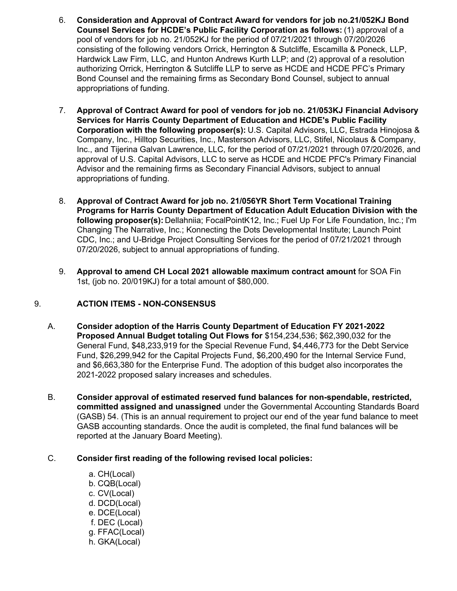- 6. **Consideration and Approval of Contract Award for vendors for job no.21/052KJ Bond Counsel Services for HCDE's Public Facility Corporation as follows:** (1) approval of a pool of vendors for job no. 21/052KJ for the period of 07/21/2021 through 07/20/2026 consisting of the following vendors Orrick, Herrington & Sutcliffe, Escamilla & Poneck, LLP, Hardwick Law Firm, LLC, and Hunton Andrews Kurth LLP; and (2) approval of a resolution authorizing Orrick, Herrington & Sutcliffe LLP to serve as HCDE and HCDE PFC's Primary Bond Counsel and the remaining firms as Secondary Bond Counsel, subject to annual appropriations of funding.
- 7. **Approval of Contract Award for pool of vendors for job no. 21/053KJ Financial Advisory Services for Harris County Department of Education and HCDE's Public Facility Corporation with the following proposer(s):** U.S. Capital Advisors, LLC, Estrada Hinojosa & Company, Inc., Hilltop Securities, Inc., Masterson Advisors, LLC, Stifel, Nicolaus & Company, Inc., and Tijerina Galvan Lawrence, LLC, for the period of 07/21/2021 through 07/20/2026, and approval of U.S. Capital Advisors, LLC to serve as HCDE and HCDE PFC's Primary Financial Advisor and the remaining firms as Secondary Financial Advisors, subject to annual appropriations of funding.
- 8. **Approval of Contract Award for job no. 21/056YR Short Term Vocational Training Programs for Harris County Department of Education Adult Education Division with the following proposer(s):** Dellahniia; FocalPointK12, Inc.; Fuel Up For Life Foundation, Inc.; I'm Changing The Narrative, Inc.; Konnecting the Dots Developmental Institute; Launch Point CDC, Inc.; and U-Bridge Project Consulting Services for the period of 07/21/2021 through 07/20/2026, subject to annual appropriations of funding.
- 9. **Approval to amend CH Local 2021 allowable maximum contract amount** for SOA Fin 1st, (job no. 20/019KJ) for a total amount of \$80,000.

## 9. **ACTION ITEMS - NON-CONSENSUS**

- A. **Consider adoption of the Harris County Department of Education FY 2021-2022 Proposed Annual Budget totaling Out Flows for** \$154,234,536; \$62,390,032 for the General Fund, \$48,233,919 for the Special Revenue Fund, \$4,446,773 for the Debt Service Fund, \$26,299,942 for the Capital Projects Fund, \$6,200,490 for the Internal Service Fund, and \$6,663,380 for the Enterprise Fund. The adoption of this budget also incorporates the 2021-2022 proposed salary increases and schedules.
- B. **Consider approval of estimated reserved fund balances for non-spendable, restricted, committed assigned and unassigned** under the Governmental Accounting Standards Board (GASB) 54. (This is an annual requirement to project our end of the year fund balance to meet GASB accounting standards. Once the audit is completed, the final fund balances will be reported at the January Board Meeting).
- C. **Consider first reading of the following revised local policies:**
	- a. CH(Local) b. CQB(Local) c. CV(Local) d. DCD(Local) e. DCE(Local) f. DEC (Local) g. FFAC(Local) h. GKA(Local)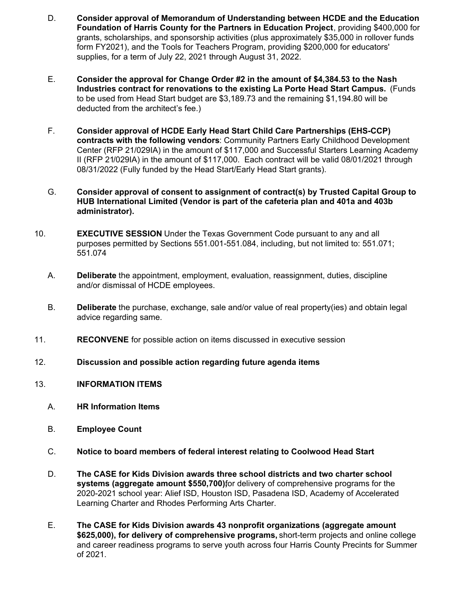- D. **Consider approval of Memorandum of Understanding between HCDE and the Education Foundation of Harris County for the Partners in Education Project**, providing \$400,000 for grants, scholarships, and sponsorship activities (plus approximately \$35,000 in rollover funds form FY2021), and the Tools for Teachers Program, providing \$200,000 for educators' supplies, for a term of July 22, 2021 through August 31, 2022.
- E. **Consider the approval for Change Order #2 in the amount of [\\$4,384.53](https://4,384.53) to the Nash Industries contract for renovations to the existing La Porte Head Start Campus.** (Funds to be used from Head Start budget are \$[3,189.73](https://3,189.73) and the remaining [\\$1,194.80](https://1,194.80) will be deducted from the architect's fee.)
- F. **Consider approval of HCDE Early Head Start Child Care Partnerships (EHS-CCP) contracts with the following vendors**: Community Partners Early Childhood Development Center (RFP 21/029IA) in the amount of \$117,000 and Successful Starters Learning Academy II (RFP 21/029IA) in the amount of \$117,000. Each contract will be valid 08/01/2021 through 08/31/2022 (Fully funded by the Head Start/Early Head Start grants).
- G. **Consider approval of consent to assignment of contract(s) by Trusted Capital Group to HUB International Limited (Vendor is part of the cafeteria plan and 401a and 403b administrator).**
- 10. **EXECUTIVE SESSION** Under the Texas Government Code pursuant to any and all purposes permitted by Sections 551.001-551.084, including, but not limited to: 551.071; 551.074
	- A. **Deliberate** the appointment, employment, evaluation, reassignment, duties, discipline and/or dismissal of HCDE employees.
	- B. **Deliberate** the purchase, exchange, sale and/or value of real property(ies) and obtain legal advice regarding same.
- 11. **RECONVENE** for possible action on items discussed in executive session
- 12. **Discussion and possible action regarding future agenda items**
- 13. **INFORMATION ITEMS**
	- A. **HR Information Items**
	- B. **Employee Count**
	- C. **Notice to board members of federal interest relating to Coolwood Head Start**
	- D. **The CASE for Kids Division awards three school districts and two charter school systems (aggregate amount \$550,700)** for delivery of comprehensive programs for the 2020-2021 school year: Alief ISD, Houston ISD, Pasadena ISD, Academy of Accelerated Learning Charter and Rhodes Performing Arts Charter.
	- E. **The CASE for Kids Division awards 43 nonprofit organizations (aggregate amount \$625,000), for delivery of comprehensive programs,** short-term projects and online college and career readiness programs to serve youth across four Harris County Precints for Summer of 2021.